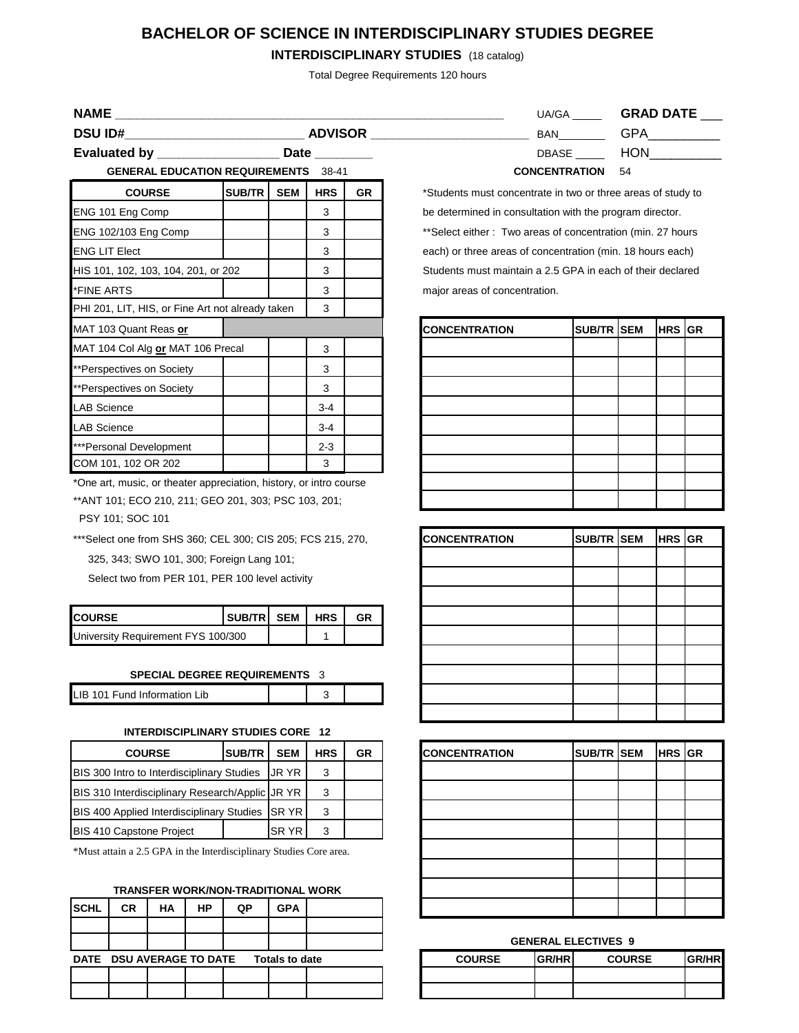# **BACHELOR OF SCIENCE IN INTERDISCIPLINARY STUDIES DEGREE**

# **INTERDISCIPLINARY STUDIES** (18 catalog)

Total Degree Requirements 120 hours

**NAME \_\_\_\_\_\_\_\_\_\_\_\_\_\_\_\_\_\_\_\_\_\_\_\_\_\_\_\_\_\_\_\_** 

**DSU ID#\_\_\_\_\_\_\_\_\_\_\_\_\_\_\_\_\_\_\_\_\_\_\_\_\_ ADVISOR \_\_\_\_\_\_\_\_\_\_\_\_\_\_\_\_\_\_\_\_\_\_** BAN\_\_\_\_\_\_\_\_ GPA\_\_\_\_\_\_\_\_\_\_

**Evaluated by \_\_\_\_\_\_\_\_\_\_\_\_\_\_\_\_\_\_\_\_\_\_ Date \_** 

**GENERAL EDUCATION REQUIREMENTS** 38-41 **CONCENTRATION** 54

| <b>COURSE</b>                                    | <b>SUB/TR</b> | <b>SEM</b> | <b>HRS</b> | <b>GR</b> |
|--------------------------------------------------|---------------|------------|------------|-----------|
| ENG 101 Eng Comp                                 |               |            | 3          |           |
| ENG 102/103 Eng Comp                             |               |            | 3          |           |
| <b>ENG LIT Elect</b>                             |               |            | 3          |           |
| HIS 101, 102, 103, 104, 201, or 202              |               |            | 3          |           |
| *FINE ARTS                                       |               |            | 3          |           |
| PHI 201, LIT, HIS, or Fine Art not already taken |               |            | 3          |           |
| MAT 103 Quant Reas or                            |               |            |            |           |
| MAT 104 Col Alg or MAT 106 Precal                |               |            | 3          |           |
| **Perspectives on Society                        |               |            | 3          |           |
| **Perspectives on Society                        |               |            | 3          |           |
| <b>LAB Science</b>                               |               |            | $3-4$      |           |
| <b>LAB Science</b>                               |               |            | $3 - 4$    |           |
| ***Personal Development                          |               |            | $2 - 3$    |           |
| COM 101, 102 OR 202                              |               |            | 3          |           |

\*One art, music, or theater appreciation, history, or intro course

\*\*ANT 101; ECO 210, 211; GEO 201, 303; PSC 103, 201;

PSY 101; SOC 101

\*\*\*Select one from SHS 360; CEL 300; CIS 205; FCS 215, 270, 325, 343; SWO 101, 300; Foreign Lang 101;

Select two from PER 101, PER 100 level activity

| <b>COURSE</b>                      | ISUB/TRISEM I HRS |  | GR |
|------------------------------------|-------------------|--|----|
| University Requirement FYS 100/300 |                   |  |    |

**SPECIAL DEGREE REQUIREMENTS** 3

| LIB 101 Fund Information Lib |  |  |  |
|------------------------------|--|--|--|
|------------------------------|--|--|--|

#### **INTERDISCIPLINARY STUDIES CORE 12**

| <b>COURSE</b>                                    | <b>SUB/TR</b> | <b>SEM</b>  | <b>HRS</b> | GR |
|--------------------------------------------------|---------------|-------------|------------|----|
| BIS 300 Intro to Interdisciplinary Studies       |               | UR YR       | 3          |    |
| BIS 310 Interdisciplinary Research/Applic JR YR  |               |             | 3          |    |
| <b>BIS 400 Applied Interdisciplinary Studies</b> | <b>SRYR</b>   | 3           |            |    |
| <b>BIS 410 Capstone Project</b>                  |               | <b>SRYR</b> |            |    |

\*Must attain a 2.5 GPA in the Interdisciplinary Studies Core area.

## **TRANSFER WORK/NON-TRADITIONAL WORK**

| <b>SCHL</b>              | <b>CR</b> | НA | <b>HP</b> | QP | <b>GPA</b>     |  |               |              |                            |               |               |
|--------------------------|-----------|----|-----------|----|----------------|--|---------------|--------------|----------------------------|---------------|---------------|
|                          |           |    |           |    |                |  |               |              |                            |               |               |
|                          |           |    |           |    |                |  |               |              | <b>GENERAL ELECTIVES 9</b> |               |               |
| DATE DSU AVERAGE TO DATE |           |    |           |    | Totals to date |  | <b>COURSE</b> | <b>GR/HR</b> |                            | <b>COURSE</b> | <b>IGR/HR</b> |
|                          |           |    |           |    |                |  |               |              |                            |               |               |
|                          |           |    |           |    |                |  |               |              |                            |               |               |

| UA/GA                | <b>GRAD DATE</b> |
|----------------------|------------------|
| BAN                  | <b>GPA</b>       |
| DBASE                | <b>HON</b>       |
| <b>CONCENTRATION</b> | 54               |

| <b>CONCENTRATION</b> | SUB/TR SEM | <b>HRS</b> GR |  |
|----------------------|------------|---------------|--|
|                      |            |               |  |
|                      |            |               |  |
|                      |            |               |  |
|                      |            |               |  |
|                      |            |               |  |
|                      |            |               |  |
|                      |            |               |  |
|                      |            |               |  |
|                      |            |               |  |

| <b>CONCENTRATION</b> | SUB/TR SEM | HRS GR |  |
|----------------------|------------|--------|--|
|                      |            |        |  |
|                      |            |        |  |
|                      |            |        |  |
|                      |            |        |  |
|                      |            |        |  |
|                      |            |        |  |
|                      |            |        |  |
|                      |            |        |  |
|                      |            |        |  |

| SUB/TR                         | <b>SEM</b> | <b>HRS</b> | GR | <b>CONCENTRATION</b> | <b>SUB/TR SEM</b> | <b>HRS GR</b> |  |
|--------------------------------|------------|------------|----|----------------------|-------------------|---------------|--|
| Studies                        | JR YR      | 3          |    |                      |                   |               |  |
| h/Applic JR YR                 |            | 3          |    |                      |                   |               |  |
| <b>Studies</b>                 | SR YR      | 3          |    |                      |                   |               |  |
|                                | SR YR      | 3          |    |                      |                   |               |  |
| isciplinary Studies Core area. |            |            |    |                      |                   |               |  |
|                                |            |            |    |                      |                   |               |  |
| N-TRADITIONAL WORK             |            |            |    |                      |                   |               |  |
| QP                             | <b>GPA</b> |            |    |                      |                   |               |  |

### **GENERAL ELECTIVES 9**

| <b>COURSE</b> | <b>IGR/HRI</b> | <b>COURSE</b> | IGR/HRI |
|---------------|----------------|---------------|---------|
|               |                |               |         |
|               |                |               |         |